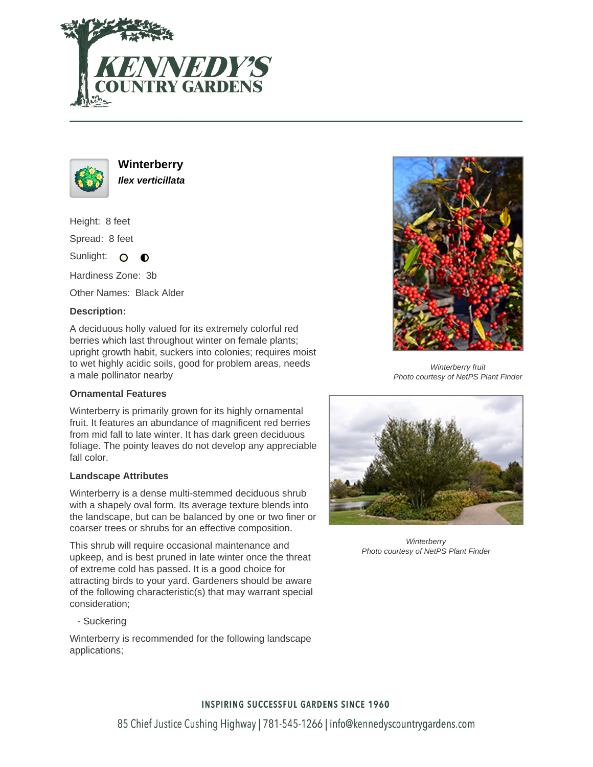



**Winterberry Ilex verticillata**

Height: 8 feet

Spread: 8 feet

Sunlight: O  $\bullet$ 

Hardiness Zone: 3b

Other Names: Black Alder

### **Description:**

A deciduous holly valued for its extremely colorful red berries which last throughout winter on female plants; upright growth habit, suckers into colonies; requires moist to wet highly acidic soils, good for problem areas, needs a male pollinator nearby

### **Ornamental Features**

Winterberry is primarily grown for its highly ornamental fruit. It features an abundance of magnificent red berries from mid fall to late winter. It has dark green deciduous foliage. The pointy leaves do not develop any appreciable fall color.

#### **Landscape Attributes**

Winterberry is a dense multi-stemmed deciduous shrub with a shapely oval form. Its average texture blends into the landscape, but can be balanced by one or two finer or coarser trees or shrubs for an effective composition.

This shrub will require occasional maintenance and upkeep, and is best pruned in late winter once the threat of extreme cold has passed. It is a good choice for attracting birds to your yard. Gardeners should be aware of the following characteristic(s) that may warrant special consideration;

- Suckering

Winterberry is recommended for the following landscape applications;



Winterberry fruit Photo courtesy of NetPS Plant Finder



**Winterberry** Photo courtesy of NetPS Plant Finder

# **INSPIRING SUCCESSFUL GARDENS SINCE 1960**